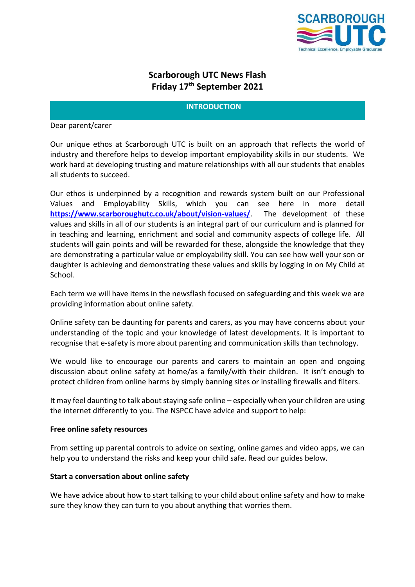

# **Scarborough UTC News Flash Friday 17 th September 2021**

#### **INTRODUCTION**

Dear parent/carer

Our unique ethos at Scarborough UTC is built on an approach that reflects the world of industry and therefore helps to develop important employability skills in our students. We work hard at developing trusting and mature relationships with all our students that enables all students to succeed.

Our ethos is underpinned by a recognition and rewards system built on our Professional Values and Employability Skills, which you can see here in more detail **<https://www.scarboroughutc.co.uk/about/vision-values/>**. The development of these values and skills in all of our students is an integral part of our curriculum and is planned for in teaching and learning, enrichment and social and community aspects of college life. All students will gain points and will be rewarded for these, alongside the knowledge that they are demonstrating a particular value or employability skill. You can see how well your son or daughter is achieving and demonstrating these values and skills by logging in on My Child at School.

Each term we will have items in the newsflash focused on safeguarding and this week we are providing information about online safety.

Online safety can be daunting for parents and carers, as you may have concerns about your understanding of the topic and your knowledge of latest developments. It is important to recognise that e-safety is more about parenting and communication skills than technology.

We would like to encourage our parents and carers to maintain an open and ongoing discussion about online safety at home/as a family/with their children. It isn't enough to protect children from online harms by simply banning sites or installing firewalls and filters.

It may feel daunting to talk about staying safe online – especially when your children are using the internet differently to you. The NSPCC have advice and support to help:

#### **Free online safety resources**

From setting up parental controls to advice on sexting, online games and video apps, we can help you to understand the risks and keep your child safe. Read our guides below.

#### **Start a conversation about online safety**

We have advice about [how to start talking to your child about online safety](https://www.nspcc.org.uk/keeping-children-safe/online-safety/talking-child-online-safety/) and how to make sure they know they can turn to you about anything that worries them.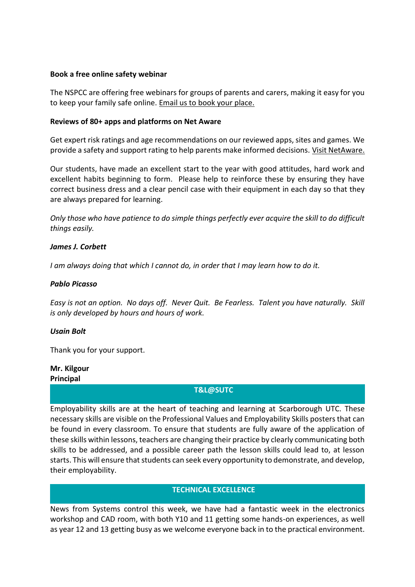#### **Book a free online safety webinar**

The NSPCC are offering free webinars for groups of parents and carers, making it easy for you to keep your family safe online. Email [us to book your place.](mailto:parentworkshops@nspcc.org.uk)

#### **Reviews of 80+ apps and platforms on Net Aware**

Get expert risk ratings and age recommendations on our reviewed apps, sites and games. We provide a safety and support rating to help parents make informed decisions. [Visit NetAware.](https://www.net-aware.org.uk/)

Our students, have made an excellent start to the year with good attitudes, hard work and excellent habits beginning to form. Please help to reinforce these by ensuring they have correct business dress and a clear pencil case with their equipment in each day so that they are always prepared for learning.

*Only those who have patience to do simple things perfectly ever acquire the skill to do difficult things easily.*

#### *[James J. Corbett](https://www.brainyquote.com/authors/james-j-corbett-quotes)*

*[I am always doing that which I cannot do, in order that I may learn how to do it.](https://www.azquotes.com/quote/231319?ref=skills-development)*

#### *[Pablo Picasso](https://www.azquotes.com/author/11640-Pablo_Picasso)*

*[Easy is not an option. No days off. Never Quit. Be Fearless. Talent you have naturally. Skill](https://www.azquotes.com/quote/1121548?ref=skills-development) [is only developed by hours and hours of work.](https://www.azquotes.com/quote/1121548?ref=skills-development)*

#### *[Usain Bolt](https://www.azquotes.com/author/1612-Usain_Bolt)*

Thank you for your support.

# **Mr. Kilgour**

**Principal**

#### **T&L@SUTC**

Employability skills are at the heart of teaching and learning at Scarborough UTC. These necessary skills are visible on the Professional Values and Employability Skills posters that can be found in every classroom. To ensure that students are fully aware of the application of these skills within lessons, teachers are changing their practice by clearly communicating both skills to be addressed, and a possible career path the lesson skills could lead to, at lesson starts. This will ensure that students can seek every opportunity to demonstrate, and develop, their employability.

#### **TECHNICAL EXCELLENCE**

News from Systems control this week, we have had a fantastic week in the electronics workshop and CAD room, with both Y10 and 11 getting some hands-on experiences, as well as year 12 and 13 getting busy as we welcome everyone back in to the practical environment.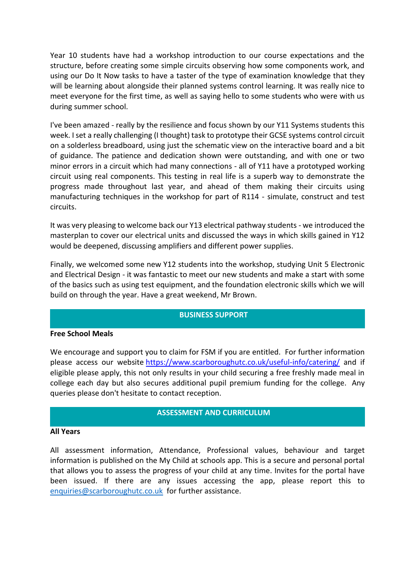Year 10 students have had a workshop introduction to our course expectations and the structure, before creating some simple circuits observing how some components work, and using our Do It Now tasks to have a taster of the type of examination knowledge that they will be learning about alongside their planned systems control learning. It was really nice to meet everyone for the first time, as well as saying hello to some students who were with us during summer school.

I've been amazed - really by the resilience and focus shown by our Y11 Systems students this week. I set a really challenging (I thought) task to prototype their GCSE systems control circuit on a solderless breadboard, using just the schematic view on the interactive board and a bit of guidance. The patience and dedication shown were outstanding, and with one or two minor errors in a circuit which had many connections - all of Y11 have a prototyped working circuit using real components. This testing in real life is a superb way to demonstrate the progress made throughout last year, and ahead of them making their circuits using manufacturing techniques in the workshop for part of R114 - simulate, construct and test circuits.

It was very pleasing to welcome back our Y13 electrical pathway students - we introduced the masterplan to cover our electrical units and discussed the ways in which skills gained in Y12 would be deepened, discussing amplifiers and different power supplies.

Finally, we welcomed some new Y12 students into the workshop, studying Unit 5 Electronic and Electrical Design - it was fantastic to meet our new students and make a start with some of the basics such as using test equipment, and the foundation electronic skills which we will build on through the year. Have a great weekend, Mr Brown.

#### **BUSINESS SUPPORT**

#### **Free School Meals**

We encourage and support you to claim for FSM if you are entitled. For further information please access our website <https://www.scarboroughutc.co.uk/useful-info/catering/> and if eligible please apply, this not only results in your child securing a free freshly made meal in college each day but also secures additional pupil premium funding for the college. Any queries please don't hesitate to contact reception.

#### **ASSESSMENT AND CURRICULUM**

#### **All Years**

All assessment information, Attendance, Professional values, behaviour and target information is published on the My Child at schools app. This is a secure and personal portal that allows you to assess the progress of your child at any time. Invites for the portal have been issued. If there are any issues accessing the app, please report this to [enquiries@scarboroughutc.co.uk](mailto:enquiries@scarboroughutc.co.uk) for further assistance.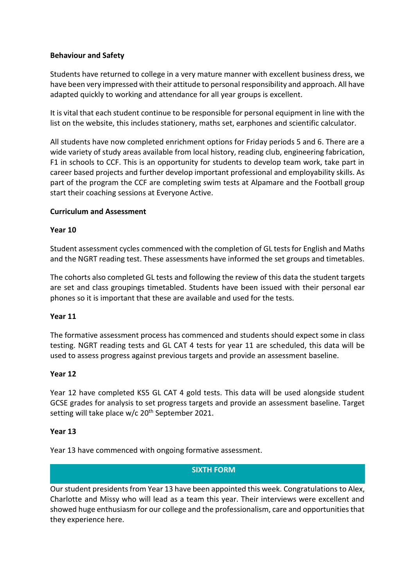### **Behaviour and Safety**

Students have returned to college in a very mature manner with excellent business dress, we have been very impressed with their attitude to personal responsibility and approach. All have adapted quickly to working and attendance for all year groups is excellent.

It is vital that each student continue to be responsible for personal equipment in line with the list on the website, this includes stationery, maths set, earphones and scientific calculator.

All students have now completed enrichment options for Friday periods 5 and 6. There are a wide variety of study areas available from local history, reading club, engineering fabrication, F1 in schools to CCF. This is an opportunity for students to develop team work, take part in career based projects and further develop important professional and employability skills. As part of the program the CCF are completing swim tests at Alpamare and the Football group start their coaching sessions at Everyone Active.

#### **Curriculum and Assessment**

#### **Year 10**

Student assessment cycles commenced with the completion of GL tests for English and Maths and the NGRT reading test. These assessments have informed the set groups and timetables.

The cohorts also completed GL tests and following the review of this data the student targets are set and class groupings timetabled. Students have been issued with their personal ear phones so it is important that these are available and used for the tests.

#### **Year 11**

The formative assessment process has commenced and students should expect some in class testing. NGRT reading tests and GL CAT 4 tests for year 11 are scheduled, this data will be used to assess progress against previous targets and provide an assessment baseline.

#### **Year 12**

Year 12 have completed KS5 GL CAT 4 gold tests. This data will be used alongside student GCSE grades for analysis to set progress targets and provide an assessment baseline. Target setting will take place  $w/c$  20<sup>th</sup> September 2021.

#### **Year 13**

Year 13 have commenced with ongoing formative assessment.

#### **SIXTH FORM**

Our student presidents from Year 13 have been appointed this week. Congratulations to Alex, Charlotte and Missy who will lead as a team this year. Their interviews were excellent and showed huge enthusiasm for our college and the professionalism, care and opportunities that they experience here.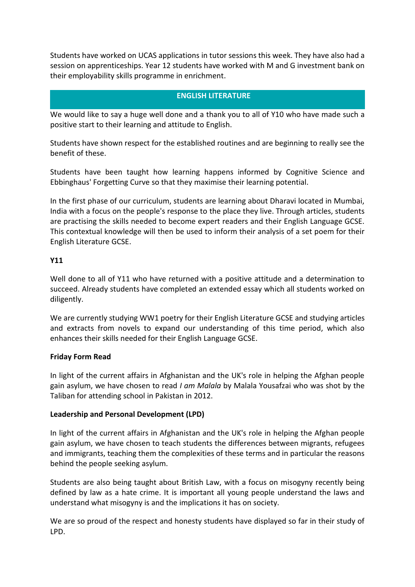Students have worked on UCAS applications in tutor sessions this week. They have also had a session on apprenticeships. Year 12 students have worked with M and G investment bank on their employability skills programme in enrichment.

# **ENGLISH LITERATURE**

We would like to say a huge well done and a thank you to all of Y10 who have made such a positive start to their learning and attitude to English.

Students have shown respect for the established routines and are beginning to really see the benefit of these.

Students have been taught how learning happens informed by Cognitive Science and Ebbinghaus' Forgetting Curve so that they maximise their learning potential.

In the first phase of our curriculum, students are learning about Dharavi located in Mumbai, India with a focus on the people's response to the place they live. Through articles, students are practising the skills needed to become expert readers and their English Language GCSE. This contextual knowledge will then be used to inform their analysis of a set poem for their English Literature GCSE.

# **Y11**

Well done to all of Y11 who have returned with a positive attitude and a determination to succeed. Already students have completed an extended essay which all students worked on diligently.

We are currently studying WW1 poetry for their English Literature GCSE and studying articles and extracts from novels to expand our understanding of this time period, which also enhances their skills needed for their English Language GCSE.

# **Friday Form Read**

In light of the current affairs in Afghanistan and the UK's role in helping the Afghan people gain asylum, we have chosen to read *I am Malala* by Malala Yousafzai who was shot by the Taliban for attending school in Pakistan in 2012.

# **Leadership and Personal Development (LPD)**

In light of the current affairs in Afghanistan and the UK's role in helping the Afghan people gain asylum, we have chosen to teach students the differences between migrants, refugees and immigrants, teaching them the complexities of these terms and in particular the reasons behind the people seeking asylum.

Students are also being taught about British Law, with a focus on misogyny recently being defined by law as a hate crime. It is important all young people understand the laws and understand what misogyny is and the implications it has on society.

We are so proud of the respect and honesty students have displayed so far in their study of LPD.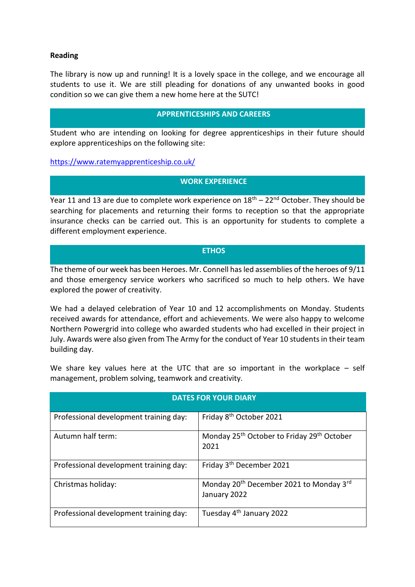#### **Reading**

The library is now up and running! It is a lovely space in the college, and we encourage all students to use it. We are still pleading for donations of any unwanted books in good condition so we can give them a new home here at the SUTC!

#### **APPRENTICESHIPS AND CAREERS**

Student who are intending on looking for degree apprenticeships in their future should explore apprenticeships on the following site:

<https://www.ratemyapprenticeship.co.uk/>

# **WORK EXPERIENCE**

Year 11 and 13 are due to complete work experience on  $18<sup>th</sup> - 22<sup>nd</sup>$  October. They should be searching for placements and returning their forms to reception so that the appropriate insurance checks can be carried out. This is an opportunity for students to complete a different employment experience.

#### **ETHOS**

The theme of our week has been Heroes. Mr. Connell has led assemblies of the heroes of 9/11 and those emergency service workers who sacrificed so much to help others. We have explored the power of creativity.

We had a delayed celebration of Year 10 and 12 accomplishments on Monday. Students received awards for attendance, effort and achievements. We were also happy to welcome Northern Powergrid into college who awarded students who had excelled in their project in July. Awards were also given from The Army for the conduct of Year 10 students in their team building day.

We share key values here at the UTC that are so important in the workplace – self management, problem solving, teamwork and creativity.

| <b>DATES FOR YOUR DIARY</b>            |                                                                                 |
|----------------------------------------|---------------------------------------------------------------------------------|
| Professional development training day: | Friday 8 <sup>th</sup> October 2021                                             |
| Autumn half term:                      | Monday 25 <sup>th</sup> October to Friday 29 <sup>th</sup> October<br>2021      |
| Professional development training day: | Friday 3 <sup>th</sup> December 2021                                            |
| Christmas holiday:                     | Monday 20 <sup>th</sup> December 2021 to Monday 3 <sup>rd</sup><br>January 2022 |
| Professional development training day: | Tuesday 4 <sup>th</sup> January 2022                                            |